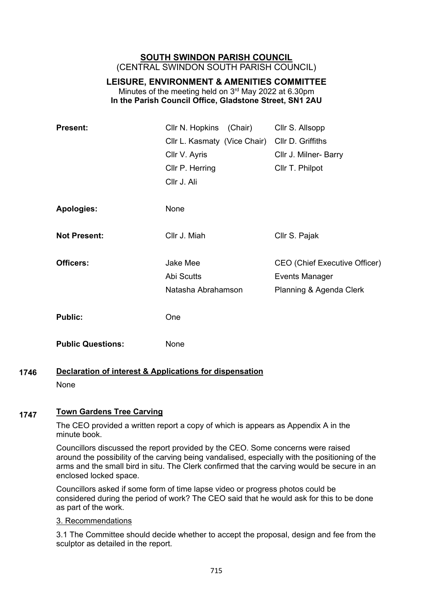# **SOUTH SWINDON PARISH COUNCIL** (CENTRAL SWINDON SOUTH PARISH COUNCIL)

# **LEISURE, ENVIRONMENT & AMENITIES COMMITTEE** Minutes of the meeting held on 3rd May 2022 at 6.30pm **In the Parish Council Office, Gladstone Street, SN1 2AU**

| <b>Present:</b>          | Cllr N. Hopkins<br>(Chair)   | Cllr S. Allsopp               |
|--------------------------|------------------------------|-------------------------------|
|                          | Cllr L. Kasmaty (Vice Chair) | Cllr D. Griffiths             |
|                          | Cllr V. Ayris                | Cllr J. Milner- Barry         |
|                          | Cllr P. Herring              | Cllr T. Philpot               |
|                          | Cllr J. Ali                  |                               |
|                          |                              |                               |
| <b>Apologies:</b>        | None                         |                               |
|                          |                              |                               |
| <b>Not Present:</b>      | Cllr J. Miah                 | Cllr S. Pajak                 |
|                          |                              |                               |
| Officers:                | Jake Mee                     | CEO (Chief Executive Officer) |
|                          | Abi Scutts                   | <b>Events Manager</b>         |
|                          | Natasha Abrahamson           | Planning & Agenda Clerk       |
|                          |                              |                               |
| <b>Public:</b>           | One                          |                               |
| <b>Public Questions:</b> | None                         |                               |
|                          |                              |                               |

### **Declaration of interest & Applications for dispensation** None **1746**

### **Town Gardens Tree Carving 1747**

The CEO provided a written report a copy of which is appears as Appendix A in the minute book.

Councillors discussed the report provided by the CEO. Some concerns were raised around the possibility of the carving being vandalised, especially with the positioning of the arms and the small bird in situ. The Clerk confirmed that the carving would be secure in an enclosed locked space.

Councillors asked if some form of time lapse video or progress photos could be considered during the period of work? The CEO said that he would ask for this to be done as part of the work.

# 3. Recommendations

3.1 The Committee should decide whether to accept the proposal, design and fee from the sculptor as detailed in the report.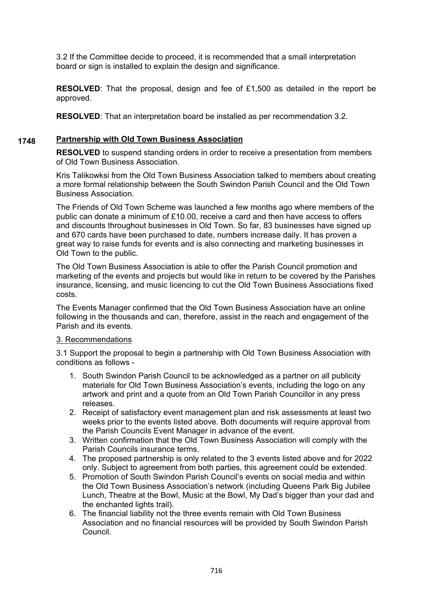3.2 If the Committee decide to proceed, it is recommended that a small interpretation board or sign is installed to explain the design and significance.

**RESOLVED**: That the proposal, design and fee of £1,500 as detailed in the report be approved.

**RESOLVED**: That an interpretation board be installed as per recommendation 3.2.

#### **Partnership with Old Town Business Association 1748**

**RESOLVED** to suspend standing orders in order to receive a presentation from members of Old Town Business Association.

Kris Talikowksi from the Old Town Business Association talked to members about creating a more formal relationship between the South Swindon Parish Council and the Old Town Business Association.

The Friends of Old Town Scheme was launched a few months ago where members of the public can donate a minimum of £10.00, receive a card and then have access to offers and discounts throughout businesses in Old Town. So far, 83 businesses have signed up and 670 cards have been purchased to date, numbers increase daily. It has proven a great way to raise funds for events and is also connecting and marketing businesses in Old Town to the public.

The Old Town Business Association is able to offer the Parish Council promotion and marketing of the events and projects but would like in return to be covered by the Parishes insurance, licensing, and music licencing to cut the Old Town Business Associations fixed costs.

The Events Manager confirmed that the Old Town Business Association have an online following in the thousands and can, therefore, assist in the reach and engagement of the Parish and its events.

# 3. Recommendations

3.1 Support the proposal to begin a partnership with Old Town Business Association with conditions as follows -

- 1. South Swindon Parish Council to be acknowledged as a partner on all publicity materials for Old Town Business Association's events, including the logo on any artwork and print and a quote from an Old Town Parish Councillor in any press releases.
- 2. Receipt of satisfactory event management plan and risk assessments at least two weeks prior to the events listed above. Both documents will require approval from the Parish Councils Event Manager in advance of the event.
- 3. Written confirmation that the Old Town Business Association will comply with the Parish Councils insurance terms.
- 4. The proposed partnership is only related to the 3 events listed above and for 2022 only. Subject to agreement from both parties, this agreement could be extended.
- 5. Promotion of South Swindon Parish Council's events on social media and within the Old Town Business Association's network (including Queens Park Big Jubilee Lunch, Theatre at the Bowl, Music at the Bowl, My Dad's bigger than your dad and the enchanted lights trail).
- 6. The financial liability not the three events remain with Old Town Business Association and no financial resources will be provided by South Swindon Parish Council.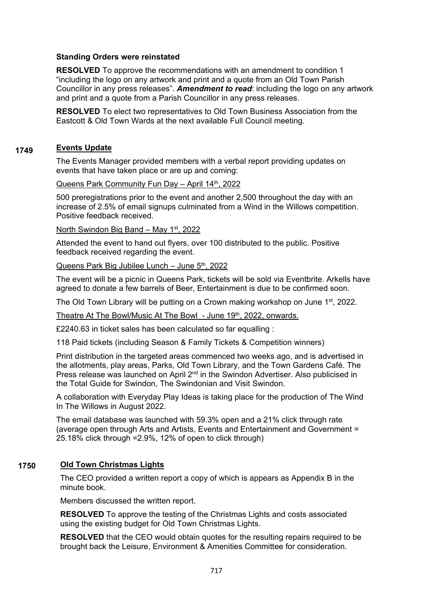## **Standing Orders were reinstated**

**RESOLVED** To approve the recommendations with an amendment to condition 1 "including the logo on any artwork and print and a quote from an Old Town Parish Councillor in any press releases". *Amendment to read*: including the logo on any artwork and print and a quote from a Parish Councillor in any press releases.

**RESOLVED** To elect two representatives to Old Town Business Association from the Eastcott & Old Town Wards at the next available Full Council meeting.

#### **Events Update 1749**

The Events Manager provided members with a verbal report providing updates on events that have taken place or are up and coming:

### Queens Park Community Fun Day - April 14th, 2022

500 preregistrations prior to the event and another 2,500 throughout the day with an increase of 2.5% of email signups culminated from a Wind in the Willows competition. Positive feedback received.

### North Swindon Big Band – May 1st, 2022

Attended the event to hand out flyers, over 100 distributed to the public. Positive feedback received regarding the event.

## Queens Park Big Jubilee Lunch – June 5<sup>th</sup>, 2022

The event will be a picnic in Queens Park, tickets will be sold via Eventbrite. Arkells have agreed to donate a few barrels of Beer, Entertainment is due to be confirmed soon.

The Old Town Library will be putting on a Crown making workshop on June 1<sup>st</sup>, 2022.

Theatre At The Bowl/Music At The Bowl - June 19th, 2022, onwards.

£2240.63 in ticket sales has been calculated so far equalling :

118 Paid tickets (including Season & Family Tickets & Competition winners)

Print distribution in the targeted areas commenced two weeks ago, and is advertised in the allotments, play areas, Parks, Old Town Library, and the Town Gardens Café. The Press release was launched on April 2nd in the Swindon Advertiser. Also publicised in the Total Guide for Swindon, The Swindonian and Visit Swindon.

A collaboration with Everyday Play Ideas is taking place for the production of The Wind In The Willows in August 2022.

The email database was launched with 59.3% open and a 21% click through rate (average open through Arts and Artists, Events and Entertainment and Government = 25.18% click through =2.9%, 12% of open to click through)

#### **Old Town Christmas Lights 1750**

The CEO provided a written report a copy of which is appears as Appendix B in the minute book.

Members discussed the written report.

**RESOLVED** To approve the testing of the Christmas Lights and costs associated using the existing budget for Old Town Christmas Lights.

**RESOLVED** that the CEO would obtain quotes for the resulting repairs required to be brought back the Leisure, Environment & Amenities Committee for consideration.